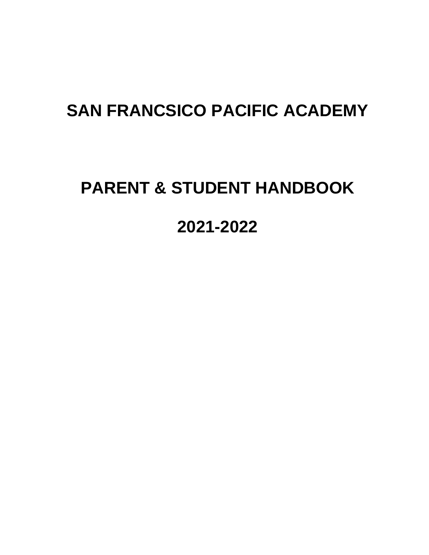## **SAN FRANCSICO PACIFIC ACADEMY**

# **PARENT & STUDENT HANDBOOK**

## **2021-2022**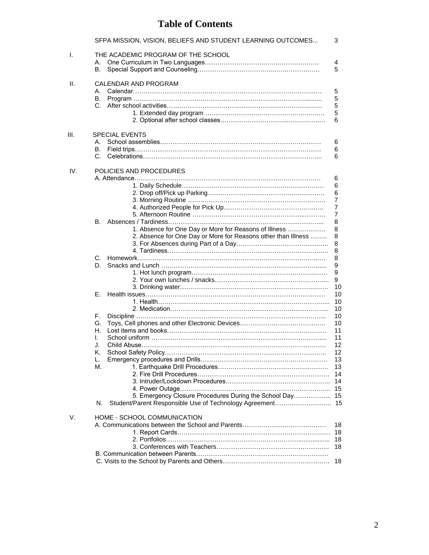## **Table of Contents**

|      | SFPA MISSION, VISION, BELIEFS AND STUDENT LEARNING OUTCOMES   | 3              |
|------|---------------------------------------------------------------|----------------|
| I.   | THE ACADEMIC PROGRAM OF THE SCHOOL<br>А.                      | 4              |
|      | В.                                                            | 5              |
| Ш.   | CALENDAR AND PROGRAM                                          |                |
|      |                                                               | 5              |
|      | В.<br>C.                                                      | 5<br>5         |
|      |                                                               | 5              |
|      |                                                               | 6              |
|      |                                                               |                |
| III. | <b>SPECIAL EVENTS</b>                                         |                |
|      | А.                                                            | 6              |
|      | В.                                                            | 6              |
|      |                                                               | 6              |
| IV.  | POLICIES AND PROCEDURES                                       |                |
|      |                                                               | 6<br>6         |
|      |                                                               | 6              |
|      |                                                               | $\overline{7}$ |
|      |                                                               | 7              |
|      |                                                               | 7              |
|      |                                                               | 8              |
|      | 1. Absence for One Day or More for Reasons of Illness         | 8              |
|      | 2. Absence for One Day or More for Reasons other than Illness | 8              |
|      |                                                               | 8              |
|      |                                                               | 8              |
|      | C.                                                            | 8              |
|      | D.                                                            | 9              |
|      |                                                               | 9              |
|      |                                                               | 9<br>10        |
|      | Е.                                                            | 10             |
|      |                                                               | 10             |
|      |                                                               | 10             |
|      | F.                                                            | 10             |
|      | G.                                                            | 10             |
|      | Н.                                                            | 11             |
|      | I.                                                            | 11             |
|      | J.                                                            | 12             |
|      | K.                                                            | 12             |
|      | L.                                                            | 13             |
|      | М.                                                            | 13             |
|      |                                                               |                |
|      |                                                               |                |
|      | 5. Emergency Closure Procedures During the School Day 15      |                |
|      | N.                                                            |                |
|      |                                                               |                |
| V.   | HOME - SCHOOL COMMUNICATION                                   |                |
|      |                                                               | 18             |
|      |                                                               | 18             |
|      |                                                               | 18             |
|      |                                                               | 18             |
|      |                                                               | 18             |
|      |                                                               |                |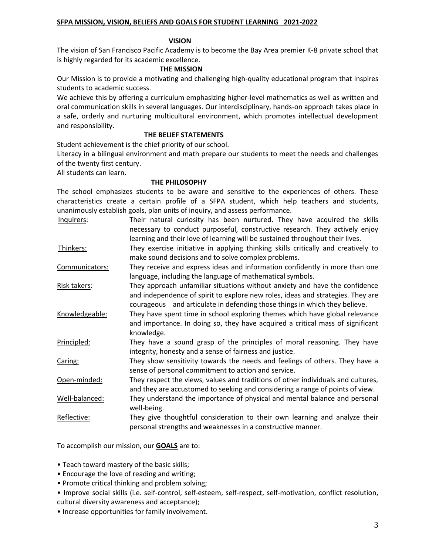#### **SFPA MISSION, VISION, BELIEFS AND GOALS FOR STUDENT LEARNING 2021-2022**

#### **VISION**

The vision of San Francisco Pacific Academy is to become the Bay Area premier K-8 private school that is highly regarded for its academic excellence.

#### **THE MISSION**

Our Mission is to provide a motivating and challenging high-quality educational program that inspires students to academic success.

We achieve this by offering a curriculum emphasizing higher-level mathematics as well as written and oral communication skills in several languages. Our interdisciplinary, hands-on approach takes place in a safe, orderly and nurturing multicultural environment, which promotes intellectual development and responsibility.

#### **THE BELIEF STATEMENTS**

Student achievement is the chief priority of our school.

Literacy in a bilingual environment and math prepare our students to meet the needs and challenges of the twenty first century.

All students can learn.

#### **THE PHILOSOPHY**

The school emphasizes students to be aware and sensitive to the experiences of others. These characteristics create a certain profile of a SFPA student, which help teachers and students, unanimously establish goals, plan units of inquiry, and assess performance.

- Inquirers: Their natural curiosity has been nurtured. They have acquired the skills necessary to conduct purposeful, constructive research. They actively enjoy learning and their love of learning will be sustained throughout their lives. Thinkers: They exercise initiative in applying thinking skills critically and creatively to make sound decisions and to solve complex problems.
- Communicators: They receive and express ideas and information confidently in more than one language, including the language of mathematical symbols.
- Risk takers: They approach unfamiliar situations without anxiety and have the confidence and independence of spirit to explore new roles, ideas and strategies. They are courageous and articulate in defending those things in which they believe.
- Knowledgeable: They have spent time in school exploring themes which have global relevance and importance. In doing so, they have acquired a critical mass of significant knowledge.
- Principled: They have a sound grasp of the principles of moral reasoning. They have integrity, honesty and a sense of fairness and justice.
- Caring: They show sensitivity towards the needs and feelings of others. They have a sense of personal commitment to action and service.
- Open-minded: They respect the views, values and traditions of other individuals and cultures, and they are accustomed to seeking and considering a range of points of view.
- Well-balanced: They understand the importance of physical and mental balance and personal well-being.
- Reflective: They give thoughtful consideration to their own learning and analyze their personal strengths and weaknesses in a constructive manner.

To accomplish our mission, our **GOALS** are to:

- Teach toward mastery of the basic skills;
- Encourage the love of reading and writing;
- Promote critical thinking and problem solving;
- Improve social skills (i.e. self-control, self-esteem, self-respect, self-motivation, conflict resolution, cultural diversity awareness and acceptance);
- Increase opportunities for family involvement.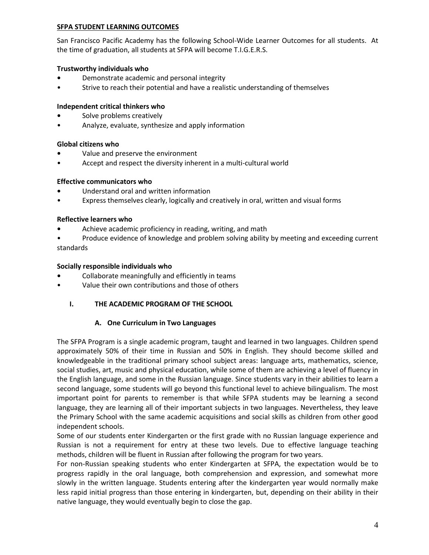#### **SFPA STUDENT LEARNING OUTCOMES**

San Francisco Pacific Academy has the following School-Wide Learner Outcomes for all students. At the time of graduation, all students at SFPA will become T.I.G.E.R.S.

#### **Trustworthy individuals who**

- **•** Demonstrate academic and personal integrity
- Strive to reach their potential and have a realistic understanding of themselves

#### **Independent critical thinkers who**

- **•** Solve problems creatively
- Analyze, evaluate, synthesize and apply information

#### **Global citizens who**

- **•** Value and preserve the environment
- Accept and respect the diversity inherent in a multi-cultural world

#### **Effective communicators who**

- **•** Understand oral and written information
- Express themselves clearly, logically and creatively in oral, written and visual forms

#### **Reflective learners who**

- **•** Achieve academic proficiency in reading, writing, and math
- Produce evidence of knowledge and problem solving ability by meeting and exceeding current standards

#### **Socially responsible individuals who**

- **•** Collaborate meaningfully and efficiently in teams
- Value their own contributions and those of others

## **I. THE ACADEMIC PROGRAM OF THE SCHOOL**

#### **A. One Curriculum in Two Languages**

The SFPA Program is a single academic program, taught and learned in two languages. Children spend approximately 50% of their time in Russian and 50% in English. They should become skilled and knowledgeable in the traditional primary school subject areas: language arts, mathematics, science, social studies, art, music and physical education, while some of them are achieving a level of fluency in the English language, and some in the Russian language. Since students vary in their abilities to learn a second language, some students will go beyond this functional level to achieve bilingualism. The most important point for parents to remember is that while SFPA students may be learning a second language, they are learning all of their important subjects in two languages. Nevertheless, they leave the Primary School with the same academic acquisitions and social skills as children from other good independent schools.

Some of our students enter Kindergarten or the first grade with no Russian language experience and Russian is not a requirement for entry at these two levels. Due to effective language teaching methods, children will be fluent in Russian after following the program for two years.

For non-Russian speaking students who enter Kindergarten at SFPA, the expectation would be to progress rapidly in the oral language, both comprehension and expression, and somewhat more slowly in the written language. Students entering after the kindergarten year would normally make less rapid initial progress than those entering in kindergarten, but, depending on their ability in their native language, they would eventually begin to close the gap.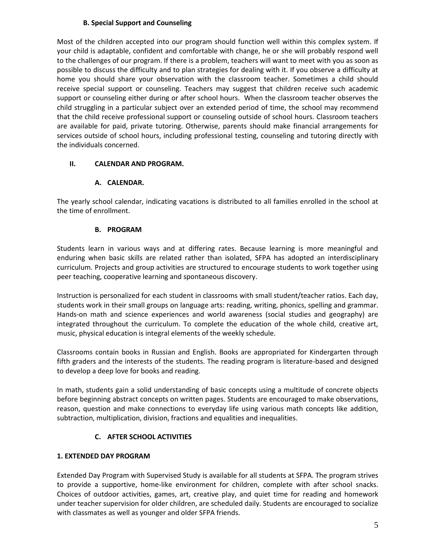## **B. Special Support and Counseling**

Most of the children accepted into our program should function well within this complex system. If your child is adaptable, confident and comfortable with change, he or she will probably respond well to the challenges of our program. If there is a problem, teachers will want to meet with you as soon as possible to discuss the difficulty and to plan strategies for dealing with it. If you observe a difficulty at home you should share your observation with the classroom teacher. Sometimes a child should receive special support or counseling. Teachers may suggest that children receive such academic support or counseling either during or after school hours. When the classroom teacher observes the child struggling in a particular subject over an extended period of time, the school may recommend that the child receive professional support or counseling outside of school hours. Classroom teachers are available for paid, private tutoring. Otherwise, parents should make financial arrangements for services outside of school hours, including professional testing, counseling and tutoring directly with the individuals concerned.

## **II. CALENDAR AND PROGRAM.**

#### **A. CALENDAR.**

The yearly school calendar, indicating vacations is distributed to all families enrolled in the school at the time of enrollment.

#### **B. PROGRAM**

Students learn in various ways and at differing rates. Because learning is more meaningful and enduring when basic skills are related rather than isolated, SFPA has adopted an interdisciplinary curriculum. Projects and group activities are structured to encourage students to work together using peer teaching, cooperative learning and spontaneous discovery.

Instruction is personalized for each student in classrooms with small student/teacher ratios. Each day, students work in their small groups on language arts: reading, writing, phonics, spelling and grammar. Hands-on math and science experiences and world awareness (social studies and geography) are integrated throughout the curriculum. To complete the education of the whole child, creative art, music, physical education is integral elements of the weekly schedule.

Classrooms contain books in Russian and English. Books are appropriated for Kindergarten through fifth graders and the interests of the students. The reading program is literature-based and designed to develop a deep love for books and reading.

In math, students gain a solid understanding of basic concepts using a multitude of concrete objects before beginning abstract concepts on written pages. Students are encouraged to make observations, reason, question and make connections to everyday life using various math concepts like addition, subtraction, multiplication, division, fractions and equalities and inequalities.

## **C. AFTER SCHOOL ACTIVITIES**

## **1. EXTENDED DAY PROGRAM**

Extended Day Program with Supervised Study is available for all students at SFPA. The program strives to provide a supportive, home-like environment for children, complete with after school snacks. Choices of outdoor activities, games, art, creative play, and quiet time for reading and homework under teacher supervision for older children, are scheduled daily. Students are encouraged to socialize with classmates as well as younger and older SFPA friends.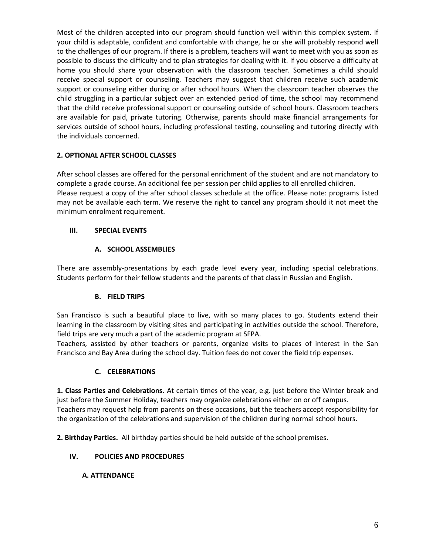Most of the children accepted into our program should function well within this complex system. If your child is adaptable, confident and comfortable with change, he or she will probably respond well to the challenges of our program. If there is a problem, teachers will want to meet with you as soon as possible to discuss the difficulty and to plan strategies for dealing with it. If you observe a difficulty at home you should share your observation with the classroom teacher. Sometimes a child should receive special support or counseling. Teachers may suggest that children receive such academic support or counseling either during or after school hours. When the classroom teacher observes the child struggling in a particular subject over an extended period of time, the school may recommend that the child receive professional support or counseling outside of school hours. Classroom teachers are available for paid, private tutoring. Otherwise, parents should make financial arrangements for services outside of school hours, including professional testing, counseling and tutoring directly with the individuals concerned.

## **2. OPTIONAL AFTER SCHOOL CLASSES**

After school classes are offered for the personal enrichment of the student and are not mandatory to complete a grade course. An additional fee per session per child applies to all enrolled children. Please request a copy of the after school classes schedule at the office. Please note: programs listed may not be available each term. We reserve the right to cancel any program should it not meet the minimum enrolment requirement.

## **III. SPECIAL EVENTS**

## **A. SCHOOL ASSEMBLIES**

There are assembly-presentations by each grade level every year, including special celebrations. Students perform for their fellow students and the parents of that class in Russian and English.

## **B. FIELD TRIPS**

San Francisco is such a beautiful place to live, with so many places to go. Students extend their learning in the classroom by visiting sites and participating in activities outside the school. Therefore, field trips are very much a part of the academic program at SFPA.

Teachers, assisted by other teachers or parents, organize visits to places of interest in the San Francisco and Bay Area during the school day. Tuition fees do not cover the field trip expenses.

## **C. CELEBRATIONS**

**1. Class Parties and Celebrations.** At certain times of the year, e.g. just before the Winter break and just before the Summer Holiday, teachers may organize celebrations either on or off campus. Teachers may request help from parents on these occasions, but the teachers accept responsibility for the organization of the celebrations and supervision of the children during normal school hours.

**2. Birthday Parties.** All birthday parties should be held outside of the school premises.

## **IV. POLICIES AND PROCEDURES**

## **A. ATTENDANCE**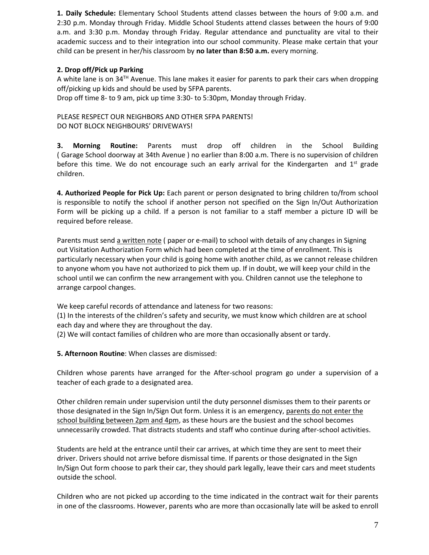**1. Daily Schedule:** Elementary School Students attend classes between the hours of 9:00 a.m. and 2:30 p.m. Monday through Friday. Middle School Students attend classes between the hours of 9:00 a.m. and 3:30 p.m. Monday through Friday. Regular attendance and punctuality are vital to their academic success and to their integration into our school community. Please make certain that your child can be present in her/his classroom by **no later than 8:50 a.m.** every morning.

## **2. Drop off/Pick up Parking**

A white lane is on  $34<sup>TH</sup>$  Avenue. This lane makes it easier for parents to park their cars when dropping off/picking up kids and should be used by SFPA parents. Drop off time 8- to 9 am, pick up time 3:30- to 5:30pm, Monday through Friday.

PLEASE RESPECT OUR NEIGHBORS AND OTHER SFPA PARENTS! DO NOT BLOCK NEIGHBOURS' DRIVEWAYS!

**3. Morning Routine:** Parents must drop off children in the School Building ( Garage School doorway at 34th Avenue ) no earlier than 8:00 a.m. There is no supervision of children before this time. We do not encourage such an early arrival for the Kindergarten and  $1^{st}$  grade children.

**4. Authorized People for Pick Up:** Each parent or person designated to bring children to/from school is responsible to notify the school if another person not specified on the Sign In/Out Authorization Form will be picking up a child. If a person is not familiar to a staff member a picture ID will be required before release.

Parents must send a written note ( paper or e-mail) to school with details of any changes in Signing out Visitation Authorization Form which had been completed at the time of enrollment. This is particularly necessary when your child is going home with another child, as we cannot release children to anyone whom you have not authorized to pick them up. If in doubt, we will keep your child in the school until we can confirm the new arrangement with you. Children cannot use the telephone to arrange carpool changes.

We keep careful records of attendance and lateness for two reasons:

(1) In the interests of the children's safety and security, we must know which children are at school each day and where they are throughout the day.

(2) We will contact families of children who are more than occasionally absent or tardy.

**5. Afternoon Routine**: When classes are dismissed:

Children whose parents have arranged for the After-school program go under a supervision of a teacher of each grade to a designated area.

Other children remain under supervision until the duty personnel dismisses them to their parents or those designated in the Sign In/Sign Out form. Unless it is an emergency, parents do not enter the school building between 2pm and 4pm, as these hours are the busiest and the school becomes unnecessarily crowded. That distracts students and staff who continue during after-school activities.

Students are held at the entrance until their car arrives, at which time they are sent to meet their driver. Drivers should not arrive before dismissal time. If parents or those designated in the Sign In/Sign Out form choose to park their car, they should park legally, leave their cars and meet students outside the school.

Children who are not picked up according to the time indicated in the contract wait for their parents in one of the classrooms. However, parents who are more than occasionally late will be asked to enroll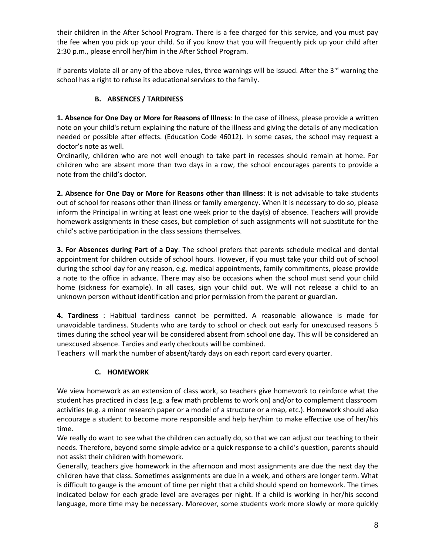their children in the After School Program. There is a fee charged for this service, and you must pay the fee when you pick up your child. So if you know that you will frequently pick up your child after 2:30 p.m., please enroll her/him in the After School Program.

If parents violate all or any of the above rules, three warnings will be issued. After the  $3<sup>rd</sup>$  warning the school has a right to refuse its educational services to the family.

## **B. ABSENCES / TARDINESS**

**1. Absence for One Day or More for Reasons of Illness**: In the case of illness, please provide a written note on your child's return explaining the nature of the illness and giving the details of any medication needed or possible after effects. (Education Code 46012). In some cases, the school may request a doctor's note as well.

Ordinarily, children who are not well enough to take part in recesses should remain at home. For children who are absent more than two days in a row, the school encourages parents to provide a note from the child's doctor.

**2. Absence for One Day or More for Reasons other than Illness**: It is not advisable to take students out of school for reasons other than illness or family emergency. When it is necessary to do so, please inform the Principal in writing at least one week prior to the day(s) of absence. Teachers will provide homework assignments in these cases, but completion of such assignments will not substitute for the child's active participation in the class sessions themselves.

**3. For Absences during Part of a Day**: The school prefers that parents schedule medical and dental appointment for children outside of school hours. However, if you must take your child out of school during the school day for any reason, e.g. medical appointments, family commitments, please provide a note to the office in advance. There may also be occasions when the school must send your child home (sickness for example). In all cases, sign your child out. We will not release a child to an unknown person without identification and prior permission from the parent or guardian.

**4. Tardiness** : Habitual tardiness cannot be permitted. A reasonable allowance is made for unavoidable tardiness. Students who are tardy to school or check out early for unexcused reasons 5 times during the school year will be considered absent from school one day. This will be considered an unexcused absence. Tardies and early checkouts will be combined.

Teachers will mark the number of absent/tardy days on each report card every quarter.

## **C. HOMEWORK**

We view homework as an extension of class work, so teachers give homework to reinforce what the student has practiced in class (e.g. a few math problems to work on) and/or to complement classroom activities (e.g. a minor research paper or a model of a structure or a map, etc.). Homework should also encourage a student to become more responsible and help her/him to make effective use of her/his time.

We really do want to see what the children can actually do, so that we can adjust our teaching to their needs. Therefore, beyond some simple advice or a quick response to a child's question, parents should not assist their children with homework.

Generally, teachers give homework in the afternoon and most assignments are due the next day the children have that class. Sometimes assignments are due in a week, and others are longer term. What is difficult to gauge is the amount of time per night that a child should spend on homework. The times indicated below for each grade level are averages per night. If a child is working in her/his second language, more time may be necessary. Moreover, some students work more slowly or more quickly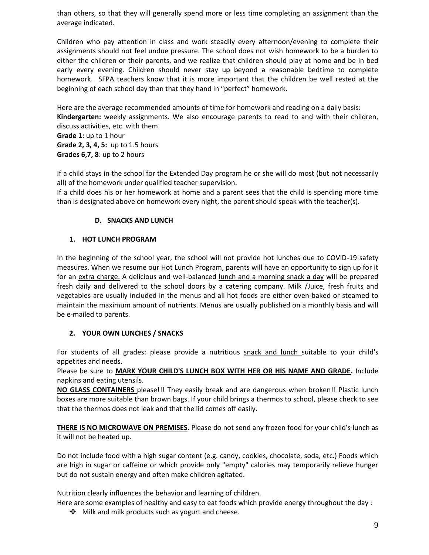than others, so that they will generally spend more or less time completing an assignment than the average indicated.

Children who pay attention in class and work steadily every afternoon/evening to complete their assignments should not feel undue pressure. The school does not wish homework to be a burden to either the children or their parents, and we realize that children should play at home and be in bed early every evening. Children should never stay up beyond a reasonable bedtime to complete homework. SFPA teachers know that it is more important that the children be well rested at the beginning of each school day than that they hand in "perfect" homework.

Here are the average recommended amounts of time for homework and reading on a daily basis: **Kindergarten:** weekly assignments. We also encourage parents to read to and with their children, discuss activities, etc. with them.

**Grade 1:** up to 1 hour **Grade 2, 3, 4, 5:** up to 1.5 hours **Grades 6,7, 8**: up to 2 hours

If a child stays in the school for the Extended Day program he or she will do most (but not necessarily all) of the homework under qualified teacher supervision.

If a child does his or her homework at home and a parent sees that the child is spending more time than is designated above on homework every night, the parent should speak with the teacher(s).

## **D. SNACKS AND LUNCH**

## **1. HOT LUNCH PROGRAM**

In the beginning of the school year, the school will not provide hot lunches due to COVID-19 safety measures. When we resume our Hot Lunch Program, parents will have an opportunity to sign up for it for an extra charge. A delicious and well-balanced lunch and a morning snack a day will be prepared fresh daily and delivered to the school doors by a catering company. Milk /Juice, fresh fruits and vegetables are usually included in the menus and all hot foods are either oven-baked or steamed to maintain the maximum amount of nutrients. Menus are usually published on a monthly basis and will be e-mailed to parents.

## **2. YOUR OWN LUNCHES / SNACKS**

For students of all grades: please provide a nutritious snack and lunch suitable to your child's appetites and needs.

Please be sure to **MARK YOUR CHILD'S LUNCH BOX WITH HER OR HIS NAME AND GRADE.** Include napkins and eating utensils.

**NO GLASS CONTAINERS** please!!! They easily break and are dangerous when broken!! Plastic lunch boxes are more suitable than brown bags. If your child brings a thermos to school, please check to see that the thermos does not leak and that the lid comes off easily.

**THERE IS NO MICROWAVE ON PREMISES**. Please do not send any frozen food for your child's lunch as it will not be heated up.

Do not include food with a high sugar content (e.g. candy, cookies, chocolate, soda, etc.) Foods which are high in sugar or caffeine or which provide only "empty" calories may temporarily relieve hunger but do not sustain energy and often make children agitated.

Nutrition clearly influences the behavior and learning of children.

Here are some examples of healthy and easy to eat foods which provide energy throughout the day :

 $\div$  Milk and milk products such as yogurt and cheese.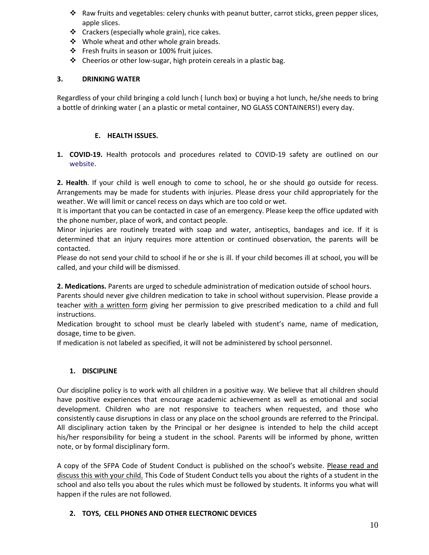- $\cdot \cdot$  Raw fruits and vegetables: celery chunks with peanut butter, carrot sticks, green pepper slices, apple slices.
- ❖ Crackers (especially whole grain), rice cakes.
- ❖ Whole wheat and other whole grain breads.
- Fresh fruits in season or 100% fruit juices.
- $\clubsuit$  Cheerios or other low-sugar, high protein cereals in a plastic bag.

## **3. DRINKING WATER**

Regardless of your child bringing a cold lunch ( lunch box) or buying a hot lunch, he/she needs to bring a bottle of drinking water ( an a plastic or metal container, NO GLASS CONTAINERS!) every day.

#### **E. HEALTH ISSUES.**

**1. COVID-19.** Health protocols and procedures related to COVID-19 safety are outlined on our [website.](http://www.sanfranciscoacademy.org/about/back-school/)

**2. Health**. If your child is well enough to come to school, he or she should go outside for recess. Arrangements may be made for students with injuries. Please dress your child appropriately for the weather. We will limit or cancel recess on days which are too cold or wet.

It is important that you can be contacted in case of an emergency. Please keep the office updated with the phone number, place of work, and contact people.

Minor injuries are routinely treated with soap and water, antiseptics, bandages and ice. If it is determined that an injury requires more attention or continued observation, the parents will be contacted.

Please do not send your child to school if he or she is ill. If your child becomes ill at school, you will be called, and your child will be dismissed.

**2. Medications.** Parents are urged to schedule administration of medication outside of school hours.

Parents should never give children medication to take in school without supervision. Please provide a teacher with a written form giving her permission to give prescribed medication to a child and full instructions.

Medication brought to school must be clearly labeled with student's name, name of medication, dosage, time to be given.

If medication is not labeled as specified, it will not be administered by school personnel.

## **1. DISCIPLINE**

Our discipline policy is to work with all children in a positive way. We believe that all children should have positive experiences that encourage academic achievement as well as emotional and social development. Children who are not responsive to teachers when requested, and those who consistently cause disruptions in class or any place on the school grounds are referred to the Principal. All disciplinary action taken by the Principal or her designee is intended to help the child accept his/her responsibility for being a student in the school. Parents will be informed by phone, written note, or by formal disciplinary form.

A copy of the SFPA Code of Student Conduct is published on the school's website. Please read and discuss this with your child. This Code of Student Conduct tells you about the rights of a student in the school and also tells you about the rules which must be followed by students. It informs you what will happen if the rules are not followed.

## **2. TOYS, CELL PHONES AND OTHER ELECTRONIC DEVICES**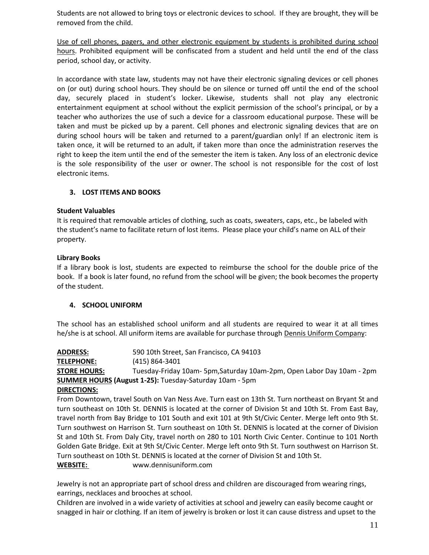Students are not allowed to bring toys or electronic devices to school. If they are brought, they will be removed from the child.

Use of cell phones, pagers, and other electronic equipment by students is prohibited during school hours. Prohibited equipment will be confiscated from a student and held until the end of the class period, school day, or activity.

In accordance with state law, students may not have their electronic signaling devices or cell phones on (or out) during school hours. They should be on silence or turned off until the end of the school day, securely placed in student's locker. Likewise, students shall not play any electronic entertainment equipment at school without the explicit permission of the school's principal, or by a teacher who authorizes the use of such a device for a classroom educational purpose. These will be taken and must be picked up by a parent. Cell phones and electronic signaling devices that are on during school hours will be taken and returned to a parent/guardian only! If an electronic item is taken once, it will be returned to an adult, if taken more than once the administration reserves the right to keep the item until the end of the semester the item is taken. Any loss of an electronic device is the sole responsibility of the user or owner. The school is not responsible for the cost of lost electronic items.

## **3. LOST ITEMS AND BOOKS**

#### **Student Valuables**

It is required that removable articles of clothing, such as coats, sweaters, caps, etc., be labeled with the student's name to facilitate return of lost items. Please place your child's name on ALL of their property.

#### **Library Books**

If a library book is lost, students are expected to reimburse the school for the double price of the book. If a book is later found, no refund from the school will be given; the book becomes the property of the student.

## **4. SCHOOL UNIFORM**

The school has an established school uniform and all students are required to wear it at all times he/she is at school. All uniform items are available for purchase through Dennis Uniform Company:

**ADDRESS:** 590 10th Street, San Francisco, CA 94103 **TELEPHONE:** (415) 864-3401 **STORE HOURS:** Tuesday-Friday 10am- 5pm,Saturday 10am-2pm, Open Labor Day 10am - 2pm **SUMMER HOURS (August 1-25):** Tuesday-Saturday 10am - 5pm

#### **DIRECTIONS:**

From Downtown, travel South on Van Ness Ave. Turn east on 13th St. Turn northeast on Bryant St and turn southeast on 10th St. DENNIS is located at the corner of Division St and 10th St. From East Bay, travel north from Bay Bridge to 101 South and exit 101 at 9th St/Civic Center. Merge left onto 9th St. Turn southwest on Harrison St. Turn southeast on 10th St. DENNIS is located at the corner of Division St and 10th St. From Daly City, travel north on 280 to 101 North Civic Center. Continue to 101 North Golden Gate Bridge. Exit at 9th St/Civic Center. Merge left onto 9th St. Turn southwest on Harrison St. Turn southeast on 10th St. DENNIS is located at the corner of Division St and 10th St.

**WEBSITE:** [www.dennisuniform.com](http://www.dennisuniform.com/)

Jewelry is not an appropriate part of school dress and children are discouraged from wearing rings, earrings, necklaces and brooches at school.

Children are involved in a wide variety of activities at school and jewelry can easily become caught or snagged in hair or clothing. If an item of jewelry is broken or lost it can cause distress and upset to the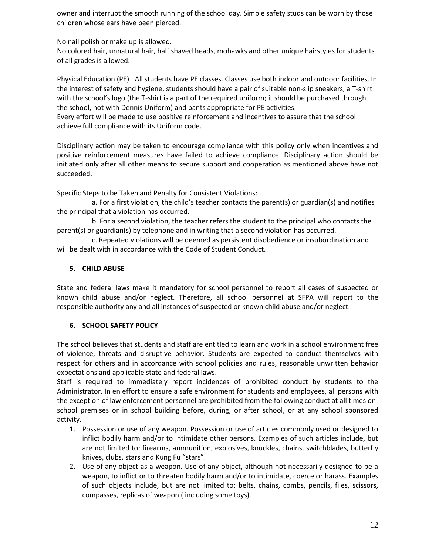owner and interrupt the smooth running of the school day. Simple safety studs can be worn by those children whose ears have been pierced.

No nail polish or make up is allowed.

No colored hair, unnatural hair, half shaved heads, mohawks and other unique hairstyles for students of all grades is allowed.

Physical Education (PE) : All students have PE classes. Classes use both indoor and outdoor facilities. In the interest of safety and hygiene, students should have a pair of suitable non-slip sneakers, a T-shirt with the school's logo (the T-shirt is a part of the required uniform; it should be purchased through the school, not with Dennis Uniform) and pants appropriate for PE activities.

Every effort will be made to use positive reinforcement and incentives to assure that the school achieve full compliance with its Uniform code.

Disciplinary action may be taken to encourage compliance with this policy only when incentives and positive reinforcement measures have failed to achieve compliance. Disciplinary action should be initiated only after all other means to secure support and cooperation as mentioned above have not succeeded.

Specific Steps to be Taken and Penalty for Consistent Violations:

a. For a first violation, the child's teacher contacts the parent(s) or guardian(s) and notifies the principal that a violation has occurred.

 b. For a second violation, the teacher refers the student to the principal who contacts the parent(s) or guardian(s) by telephone and in writing that a second violation has occurred.

 c. Repeated violations will be deemed as persistent disobedience or insubordination and will be dealt with in accordance with the Code of Student Conduct.

#### **5. CHILD ABUSE**

State and federal laws make it mandatory for school personnel to report all cases of suspected or known child abuse and/or neglect. Therefore, all school personnel at SFPA will report to the responsible authority any and all instances of suspected or known child abuse and/or neglect.

## **6. SCHOOL SAFETY POLICY**

The school believes that students and staff are entitled to learn and work in a school environment free of violence, threats and disruptive behavior. Students are expected to conduct themselves with respect for others and in accordance with school policies and rules, reasonable unwritten behavior expectations and applicable state and federal laws.

Staff is required to immediately report incidences of prohibited conduct by students to the Administrator. In en effort to ensure a safe environment for students and employees, all persons with the exception of law enforcement personnel are prohibited from the following conduct at all times on school premises or in school building before, during, or after school, or at any school sponsored activity.

- 1. Possession or use of any weapon. Possession or use of articles commonly used or designed to inflict bodily harm and/or to intimidate other persons. Examples of such articles include, but are not limited to: firearms, ammunition, explosives, knuckles, chains, switchblades, butterfly knives, clubs, stars and Kung Fu "stars".
- 2. Use of any object as a weapon. Use of any object, although not necessarily designed to be a weapon, to inflict or to threaten bodily harm and/or to intimidate, coerce or harass. Examples of such objects include, but are not limited to: belts, chains, combs, pencils, files, scissors, compasses, replicas of weapon ( including some toys).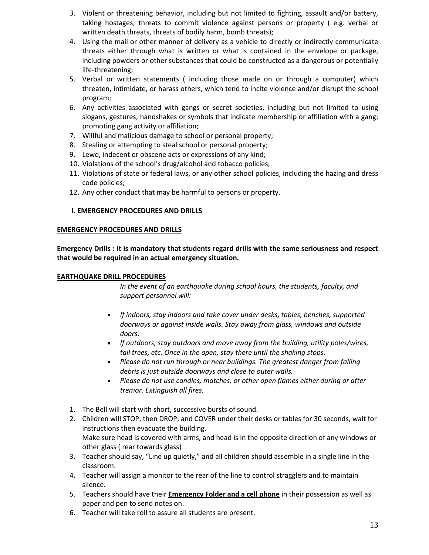- 3. Violent or threatening behavior, including but not limited to fighting, assault and/or battery, taking hostages, threats to commit violence against persons or property ( e.g. verbal or written death threats, threats of bodily harm, bomb threats);
- 4. Using the mail or other manner of delivery as a vehicle to directly or indirectly communicate threats either through what is written or what is contained in the envelope or package, including powders or other substances that could be constructed as a dangerous or potentially life-threatening;
- 5. Verbal or written statements ( including those made on or through a computer) which threaten, intimidate, or harass others, which tend to incite violence and/or disrupt the school program;
- 6. Any activities associated with gangs or secret societies, including but not limited to using slogans, gestures, handshakes or symbols that indicate membership or affiliation with a gang; promoting gang activity or affiliation;
- 7. Willful and malicious damage to school or personal property;
- 8. Stealing or attempting to steal school or personal property;
- 9. Lewd, indecent or obscene acts or expressions of any kind;
- 10. Violations of the school's drug/alcohol and tobacco policies;
- 11. Violations of state or federal laws, or any other school policies, including the hazing and dress code policies;
- 12. Any other conduct that may be harmful to persons or property.

#### **I. EMERGENCY PROCEDURES AND DRILLS**

#### **EMERGENCY PROCEDURES AND DRILLS**

**Emergency Drills : It is mandatory that students regard drills with the same seriousness and respect that would be required in an actual emergency situation.**

#### **EARTHQUAKE DRILL PROCEDURES**

*In the event of an earthquake during school hours, the students, faculty, and support personnel will:* 

- *If indoors, stay indoors and take cover under desks, tables, benches, supported doorways or against inside walls. Stay away from glass, windows and outside doors.*
- *If outdoors, stay outdoors and move away from the building, utility poles/wires, tall trees, etc. Once in the open, stay there until the shaking stops.*
- *Please do not run through or near buildings. The greatest danger from falling debris is just outside doorways and close to outer walls.*
- *Please do not use candles, matches, or other open flames either during or after tremor. Extinguish all fires.*
- 1. The Bell will start with short, successive bursts of sound.
- 2. Children will STOP, then DROP, and COVER under their desks or tables for 30 seconds, wait for instructions then evacuate the building. Make sure head is covered with arms, and head is in the opposite direction of any windows or other glass ( rear towards glass)
- 3. Teacher should say, "Line up quietly," and all children should assemble in a single line in the classroom.
- 4. Teacher will assign a monitor to the rear of the line to control stragglers and to maintain silence.
- 5. Teachers should have their **Emergency Folder and a cell phone** in their possession as well as paper and pen to send notes on.
- 6. Teacher will take roll to assure all students are present.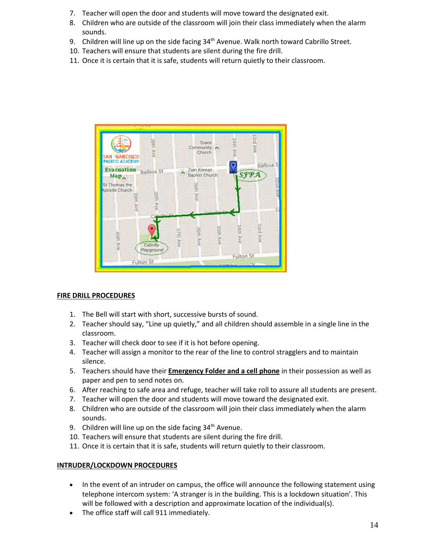- 7. Teacher will open the door and students will move toward the designated exit.
- 8. Children who are outside of the classroom will join their class immediately when the alarm sounds.
- 9. Children will line up on the side facing 34<sup>th</sup> Avenue. Walk north toward Cabrillo Street.
- 10. Teachers will ensure that students are silent during the fire drill.
- 11. Once it is certain that it is safe, students will return quietly to their classroom.



#### **FIRE DRILL PROCEDURES**

- 1. The Bell will start with short, successive bursts of sound.
- 2. Teacher should say, "Line up quietly," and all children should assemble in a single line in the classroom.
- 3. Teacher will check door to see if it is hot before opening.
- 4. Teacher will assign a monitor to the rear of the line to control stragglers and to maintain silence.
- 5. Teachers should have their **Emergency Folder and a cell phone** in their possession as well as paper and pen to send notes on.
- 6. After reaching to safe area and refuge, teacher will take roll to assure all students are present.
- 7. Teacher will open the door and students will move toward the designated exit.
- 8. Children who are outside of the classroom will join their class immediately when the alarm sounds.
- 9. Children will line up on the side facing  $34<sup>th</sup>$  Avenue.
- 10. Teachers will ensure that students are silent during the fire drill.
- 11. Once it is certain that it is safe, students will return quietly to their classroom.

#### **INTRUDER/LOCKDOWN PROCEDURES**

- In the event of an intruder on campus, the office will announce the following statement using telephone intercom system: 'A stranger is in the building. This is a lockdown situation'. This will be followed with a description and approximate location of the individual(s).
- The office staff will call 911 immediately.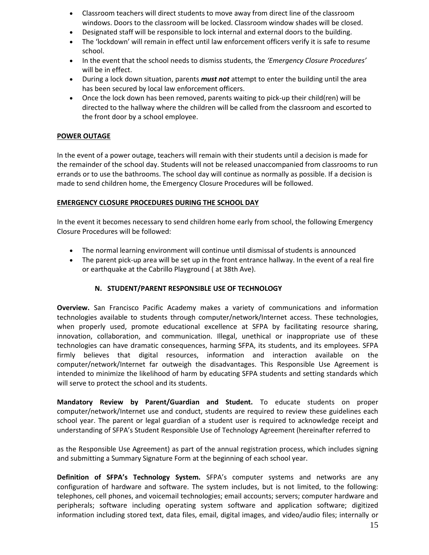- Classroom teachers will direct students to move away from direct line of the classroom windows. Doors to the classroom will be locked. Classroom window shades will be closed.
- Designated staff will be responsible to lock internal and external doors to the building.
- The 'lockdown' will remain in effect until law enforcement officers verify it is safe to resume school.
- In the event that the school needs to dismiss students, the *'Emergency Closure Procedures'* will be in effect.
- During a lock down situation, parents *must not* attempt to enter the building until the area has been secured by local law enforcement officers.
- Once the lock down has been removed, parents waiting to pick-up their child(ren) will be directed to the hallway where the children will be called from the classroom and escorted to the front door by a school employee.

#### **POWER OUTAGE**

In the event of a power outage, teachers will remain with their students until a decision is made for the remainder of the school day. Students will not be released unaccompanied from classrooms to run errands or to use the bathrooms. The school day will continue as normally as possible. If a decision is made to send children home, the Emergency Closure Procedures will be followed.

#### **EMERGENCY CLOSURE PROCEDURES DURING THE SCHOOL DAY**

In the event it becomes necessary to send children home early from school, the following Emergency Closure Procedures will be followed:

- The normal learning environment will continue until dismissal of students is announced
- The parent pick-up area will be set up in the front entrance hallway. In the event of a real fire or earthquake at the Cabrillo Playground ( at 38th Ave).

## **N. STUDENT/PARENT RESPONSIBLE USE OF TECHNOLOGY**

**Overview.** San Francisco Pacific Academy makes a variety of communications and information technologies available to students through computer/network/Internet access. These technologies, when properly used, promote educational excellence at SFPA by facilitating resource sharing, innovation, collaboration, and communication. Illegal, unethical or inappropriate use of these technologies can have dramatic consequences, harming SFPA, its students, and its employees. SFPA firmly believes that digital resources, information and interaction available on the computer/network/Internet far outweigh the disadvantages. This Responsible Use Agreement is intended to minimize the likelihood of harm by educating SFPA students and setting standards which will serve to protect the school and its students.

**Mandatory Review by Parent/Guardian and Student.** To educate students on proper computer/network/Internet use and conduct, students are required to review these guidelines each school year. The parent or legal guardian of a student user is required to acknowledge receipt and understanding of SFPA's Student Responsible Use of Technology Agreement (hereinafter referred to

as the Responsible Use Agreement) as part of the annual registration process, which includes signing and submitting a Summary Signature Form at the beginning of each school year.

**Definition of SFPA's Technology System.** SFPA's computer systems and networks are any configuration of hardware and software. The system includes, but is not limited, to the following: telephones, cell phones, and voicemail technologies; email accounts; servers; computer hardware and peripherals; software including operating system software and application software; digitized information including stored text, data files, email, digital images, and video/audio files; internally or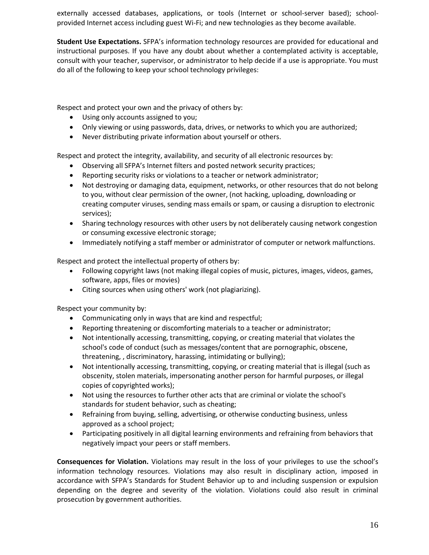externally accessed databases, applications, or tools (Internet or school-server based); schoolprovided Internet access including guest Wi-Fi; and new technologies as they become available.

**Student Use Expectations.** SFPA's information technology resources are provided for educational and instructional purposes. If you have any doubt about whether a contemplated activity is acceptable, consult with your teacher, supervisor, or administrator to help decide if a use is appropriate. You must do all of the following to keep your school technology privileges:

Respect and protect your own and the privacy of others by:

- Using only accounts assigned to you;
- Only viewing or using passwords, data, drives, or networks to which you are authorized;
- Never distributing private information about yourself or others.

Respect and protect the integrity, availability, and security of all electronic resources by:

- Observing all SFPA's Internet filters and posted network security practices;
- Reporting security risks or violations to a teacher or network administrator;
- Not destroying or damaging data, equipment, networks, or other resources that do not belong to you, without clear permission of the owner, (not hacking, uploading, downloading or creating computer viruses, sending mass emails or spam, or causing a disruption to electronic services);
- Sharing technology resources with other users by not deliberately causing network congestion or consuming excessive electronic storage;
- Immediately notifying a staff member or administrator of computer or network malfunctions.

Respect and protect the intellectual property of others by:

- Following copyright laws (not making illegal copies of music, pictures, images, videos, games, software, apps, files or movies)
- Citing sources when using others' work (not plagiarizing).

Respect your community by:

- Communicating only in ways that are kind and respectful;
- Reporting threatening or discomforting materials to a teacher or administrator;
- Not intentionally accessing, transmitting, copying, or creating material that violates the school's code of conduct (such as messages/content that are pornographic, obscene, threatening, , discriminatory, harassing, intimidating or bullying);
- Not intentionally accessing, transmitting, copying, or creating material that is illegal (such as obscenity, stolen materials, impersonating another person for harmful purposes, or illegal copies of copyrighted works);
- Not using the resources to further other acts that are criminal or violate the school's standards for student behavior, such as cheating;
- Refraining from buying, selling, advertising, or otherwise conducting business, unless approved as a school project;
- Participating positively in all digital learning environments and refraining from behaviors that negatively impact your peers or staff members.

**Consequences for Violation.** Violations may result in the loss of your privileges to use the school's information technology resources. Violations may also result in disciplinary action, imposed in accordance with SFPA's Standards for Student Behavior up to and including suspension or expulsion depending on the degree and severity of the violation. Violations could also result in criminal prosecution by government authorities.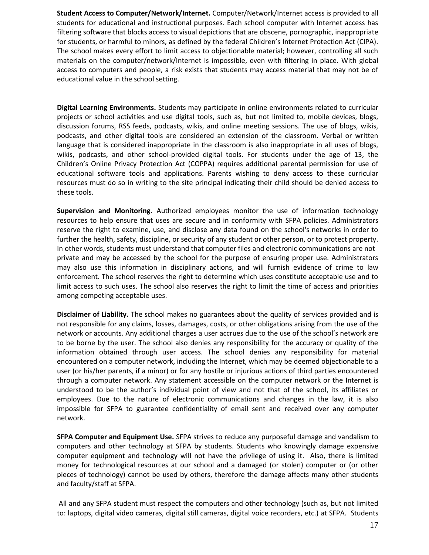**Student Access to Computer/Network/Internet.** Computer/Network/Internet access is provided to all students for educational and instructional purposes. Each school computer with Internet access has filtering software that blocks access to visual depictions that are obscene, pornographic, inappropriate for students, or harmful to minors, as defined by the federal Children's Internet Protection Act (CIPA). The school makes every effort to limit access to objectionable material; however, controlling all such materials on the computer/network/Internet is impossible, even with filtering in place. With global access to computers and people, a risk exists that students may access material that may not be of educational value in the school setting.

**Digital Learning Environments.** Students may participate in online environments related to curricular projects or school activities and use digital tools, such as, but not limited to, mobile devices, blogs, discussion forums, RSS feeds, podcasts, wikis, and online meeting sessions. The use of blogs, wikis, podcasts, and other digital tools are considered an extension of the classroom. Verbal or written language that is considered inappropriate in the classroom is also inappropriate in all uses of blogs, wikis, podcasts, and other school-provided digital tools. For students under the age of 13, the Children's Online Privacy Protection Act (COPPA) requires additional parental permission for use of educational software tools and applications. Parents wishing to deny access to these curricular resources must do so in writing to the site principal indicating their child should be denied access to these tools.

**Supervision and Monitoring.** Authorized employees monitor the use of information technology resources to help ensure that uses are secure and in conformity with SFPA policies. Administrators reserve the right to examine, use, and disclose any data found on the school's networks in order to further the health, safety, discipline, or security of any student or other person, or to protect property. In other words, students must understand that computer files and electronic communications are not private and may be accessed by the school for the purpose of ensuring proper use. Administrators may also use this information in disciplinary actions, and will furnish evidence of crime to law enforcement. The school reserves the right to determine which uses constitute acceptable use and to limit access to such uses. The school also reserves the right to limit the time of access and priorities among competing acceptable uses.

**Disclaimer of Liability.** The school makes no guarantees about the quality of services provided and is not responsible for any claims, losses, damages, costs, or other obligations arising from the use of the network or accounts. Any additional charges a user accrues due to the use of the school's network are to be borne by the user. The school also denies any responsibility for the accuracy or quality of the information obtained through user access. The school denies any responsibility for material encountered on a computer network, including the Internet, which may be deemed objectionable to a user (or his/her parents, if a minor) or for any hostile or injurious actions of third parties encountered through a computer network. Any statement accessible on the computer network or the Internet is understood to be the author's individual point of view and not that of the school, its affiliates or employees. Due to the nature of electronic communications and changes in the law, it is also impossible for SFPA to guarantee confidentiality of email sent and received over any computer network.

**SFPA Computer and Equipment Use.** SFPA strives to reduce any purposeful damage and vandalism to computers and other technology at SFPA by students. Students who knowingly damage expensive computer equipment and technology will not have the privilege of using it. Also, there is limited money for technological resources at our school and a damaged (or stolen) computer or (or other pieces of technology) cannot be used by others, therefore the damage affects many other students and faculty/staff at SFPA.

All and any SFPA student must respect the computers and other technology (such as, but not limited to: laptops, digital video cameras, digital still cameras, digital voice recorders, etc.) at SFPA. Students